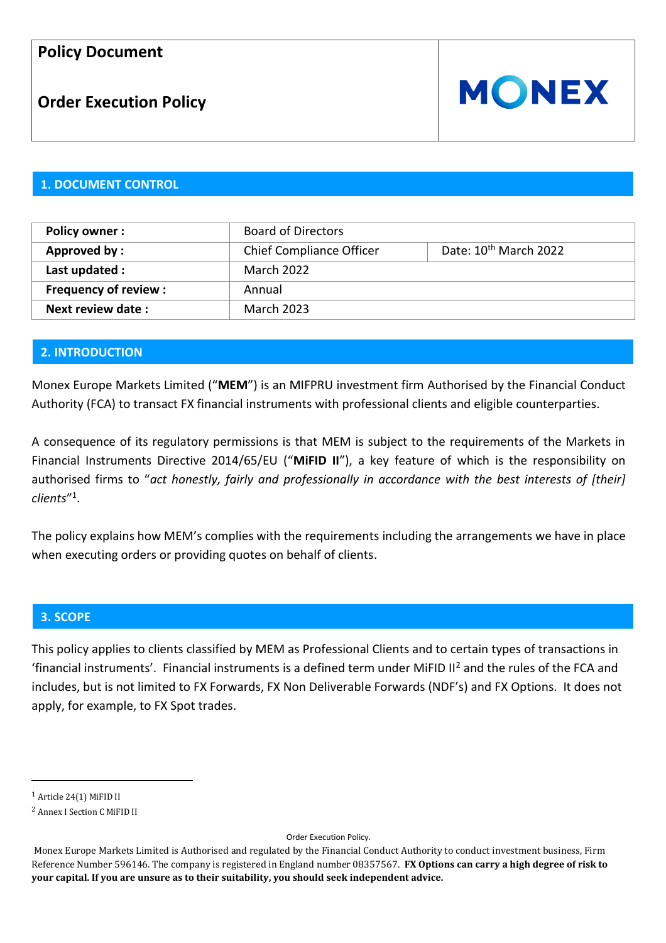# **Order Execution Policy**



#### **1. DOCUMENT CONTROL**

| <b>Policy owner:</b>        | <b>Board of Directors</b>       |                                   |
|-----------------------------|---------------------------------|-----------------------------------|
| Approved by:                | <b>Chief Compliance Officer</b> | Date: 10 <sup>th</sup> March 2022 |
| Last updated :              | <b>March 2022</b>               |                                   |
| <b>Frequency of review:</b> | Annual                          |                                   |
| Next review date:           | <b>March 2023</b>               |                                   |

### **2. INTRODUCTION**

Monex Europe Markets Limited ("**MEM**") is an MIFPRU investment firm Authorised by the Financial Conduct Authority (FCA) to transact FX financial instruments with professional clients and eligible counterparties.

A consequence of its regulatory permissions is that MEM is subject to the requirements of the Markets in Financial Instruments Directive 2014/65/EU ("**MiFID II**"), a key feature of which is the responsibility on authorised firms to "*act honestly, fairly and professionally in accordance with the best interests of [their] clients*" 1 .

The policy explains how MEM's complies with the requirements including the arrangements we have in place when executing orders or providing quotes on behalf of clients.

#### **3. SCOPE**

This policy applies to clients classified by MEM as Professional Clients and to certain types of transactions in 'financial instruments'. Financial instruments is a defined term under MiFID II<sup>2</sup> and the rules of the FCA and includes, but is not limited to FX Forwards, FX Non Deliverable Forwards (NDF's) and FX Options. It does not apply, for example, to FX Spot trades.

Order Execution Policy.

<sup>1</sup> Article 24(1) MiFID II

<sup>2</sup> Annex I Section C MiFID II

Monex Europe Markets Limited is Authorised and regulated by the Financial Conduct Authority to conduct investment business, Firm Reference Number 596146. The company is registered in England number 08357567. **FX Options can carry a high degree of risk to your capital. If you are unsure as to their suitability, you should seek independent advice.**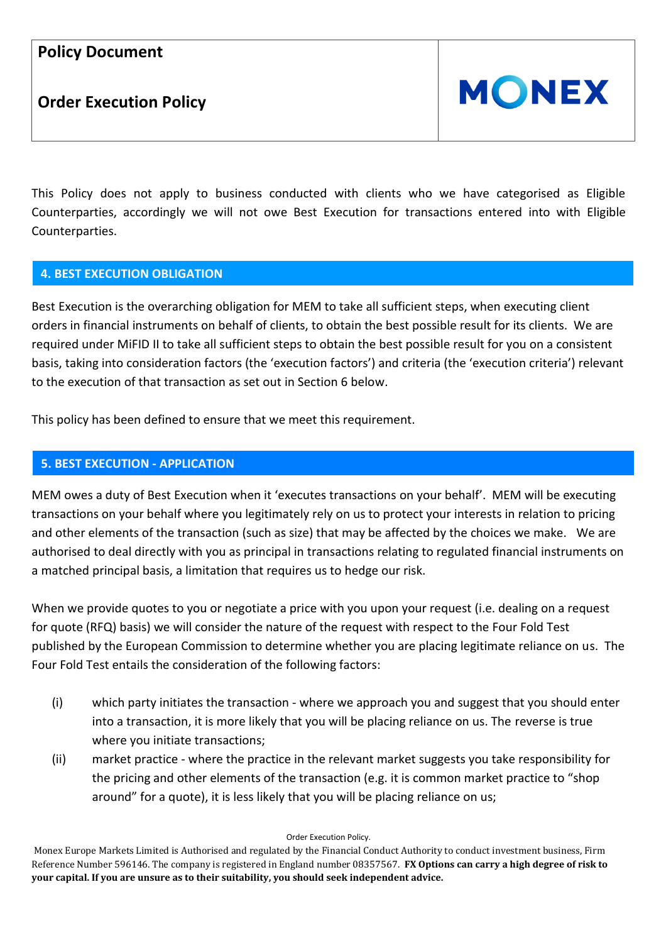**Order Execution Policy**



This Policy does not apply to business conducted with clients who we have categorised as Eligible Counterparties, accordingly we will not owe Best Execution for transactions entered into with Eligible Counterparties.

### **4. BEST EXECUTION OBLIGATION**

Best Execution is the overarching obligation for MEM to take all sufficient steps, when executing client orders in financial instruments on behalf of clients, to obtain the best possible result for its clients. We are required under MiFID II to take all sufficient steps to obtain the best possible result for you on a consistent basis, taking into consideration factors (the 'execution factors') and criteria (the 'execution criteria') relevant to the execution of that transaction as set out in Section 6 below.

This policy has been defined to ensure that we meet this requirement.

### **5. BEST EXECUTION - APPLICATION**

MEM owes a duty of Best Execution when it 'executes transactions on your behalf'. MEM will be executing transactions on your behalf where you legitimately rely on us to protect your interests in relation to pricing and other elements of the transaction (such as size) that may be affected by the choices we make. We are authorised to deal directly with you as principal in transactions relating to regulated financial instruments on a matched principal basis, a limitation that requires us to hedge our risk.

When we provide quotes to you or negotiate a price with you upon your request (i.e. dealing on a request for quote (RFQ) basis) we will consider the nature of the request with respect to the Four Fold Test published by the European Commission to determine whether you are placing legitimate reliance on us. The Four Fold Test entails the consideration of the following factors:

- (i) which party initiates the transaction where we approach you and suggest that you should enter into a transaction, it is more likely that you will be placing reliance on us. The reverse is true where you initiate transactions;
- (ii) market practice where the practice in the relevant market suggests you take responsibility for the pricing and other elements of the transaction (e.g. it is common market practice to "shop around" for a quote), it is less likely that you will be placing reliance on us;

Order Execution Policy.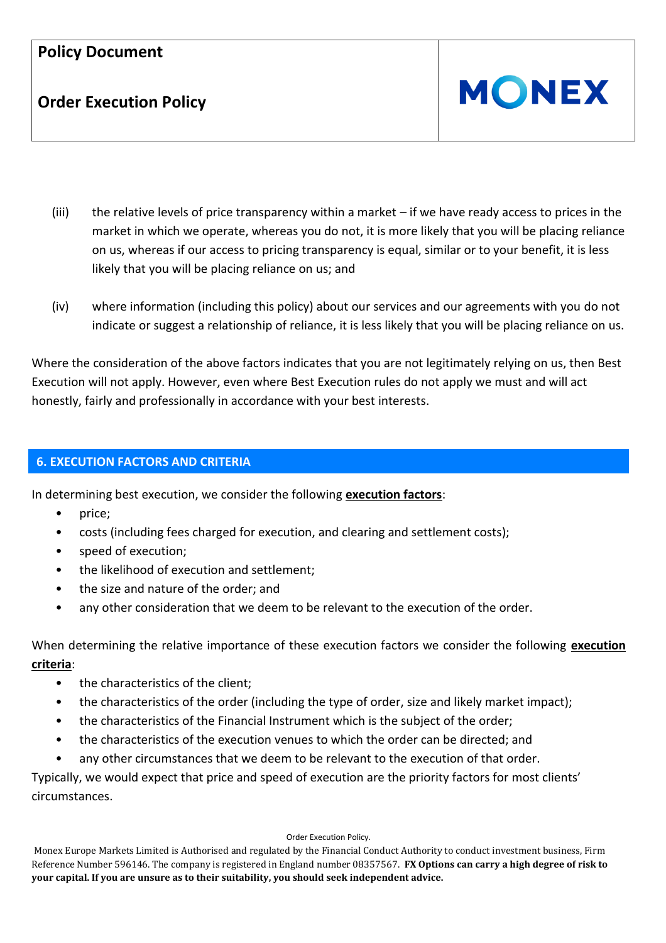# **Order Execution Policy**



- (iii) the relative levels of price transparency within a market if we have ready access to prices in the market in which we operate, whereas you do not, it is more likely that you will be placing reliance on us, whereas if our access to pricing transparency is equal, similar or to your benefit, it is less likely that you will be placing reliance on us; and
- (iv) where information (including this policy) about our services and our agreements with you do not indicate or suggest a relationship of reliance, it is less likely that you will be placing reliance on us.

Where the consideration of the above factors indicates that you are not legitimately relying on us, then Best Execution will not apply. However, even where Best Execution rules do not apply we must and will act honestly, fairly and professionally in accordance with your best interests.

### **6. EXECUTION FACTORS AND CRITERIA**

In determining best execution, we consider the following **execution factors**:

- price;
- costs (including fees charged for execution, and clearing and settlement costs);
- speed of execution;
- the likelihood of execution and settlement;
- the size and nature of the order; and
- any other consideration that we deem to be relevant to the execution of the order.

When determining the relative importance of these execution factors we consider the following **execution criteria**:

- the characteristics of the client;
- the characteristics of the order (including the type of order, size and likely market impact);
- the characteristics of the Financial Instrument which is the subject of the order;
- the characteristics of the execution venues to which the order can be directed; and
- any other circumstances that we deem to be relevant to the execution of that order.

Typically, we would expect that price and speed of execution are the priority factors for most clients' circumstances.

#### Order Execution Policy.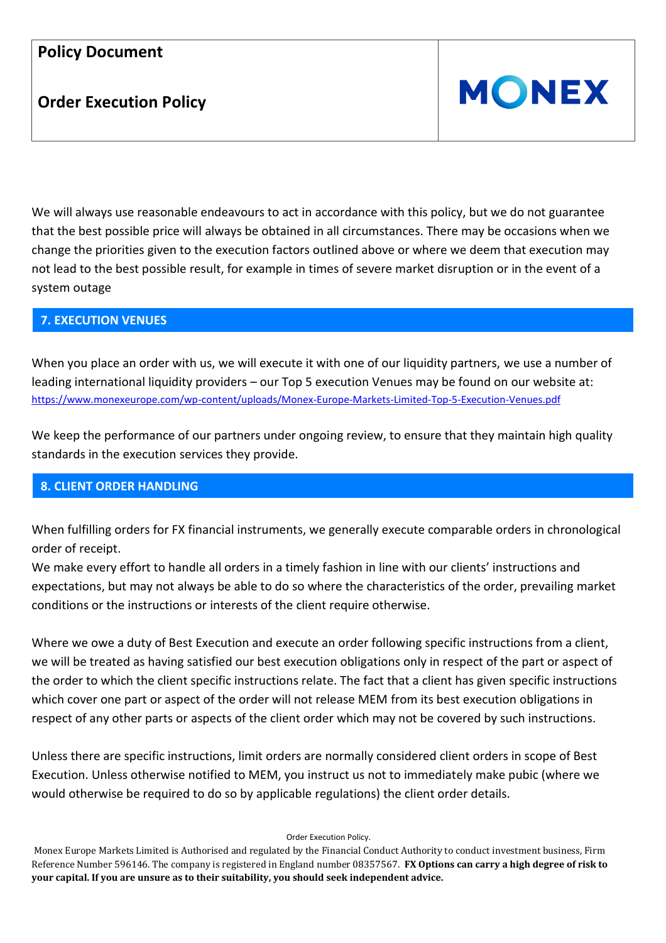# **Order Execution Policy**



We will always use reasonable endeavours to act in accordance with this policy, but we do not guarantee that the best possible price will always be obtained in all circumstances. There may be occasions when we change the priorities given to the execution factors outlined above or where we deem that execution may not lead to the best possible result, for example in times of severe market disruption or in the event of a system outage

### **7. EXECUTION VENUES**

When you place an order with us, we will execute it with one of our liquidity partners, we use a number of leading international liquidity providers – our Top 5 execution Venues may be found on our website at: <https://www.monexeurope.com/wp-content/uploads/Monex-Europe-Markets-Limited-Top-5-Execution-Venues.pdf>

We keep the performance of our partners under ongoing review, to ensure that they maintain high quality standards in the execution services they provide.

### **8. CLIENT ORDER HANDLING**

When fulfilling orders for FX financial instruments, we generally execute comparable orders in chronological order of receipt.

We make every effort to handle all orders in a timely fashion in line with our clients' instructions and expectations, but may not always be able to do so where the characteristics of the order, prevailing market conditions or the instructions or interests of the client require otherwise.

Where we owe a duty of Best Execution and execute an order following specific instructions from a client, we will be treated as having satisfied our best execution obligations only in respect of the part or aspect of the order to which the client specific instructions relate. The fact that a client has given specific instructions which cover one part or aspect of the order will not release MEM from its best execution obligations in respect of any other parts or aspects of the client order which may not be covered by such instructions.

Unless there are specific instructions, limit orders are normally considered client orders in scope of Best Execution. Unless otherwise notified to MEM, you instruct us not to immediately make pubic (where we would otherwise be required to do so by applicable regulations) the client order details.

#### Order Execution Policy.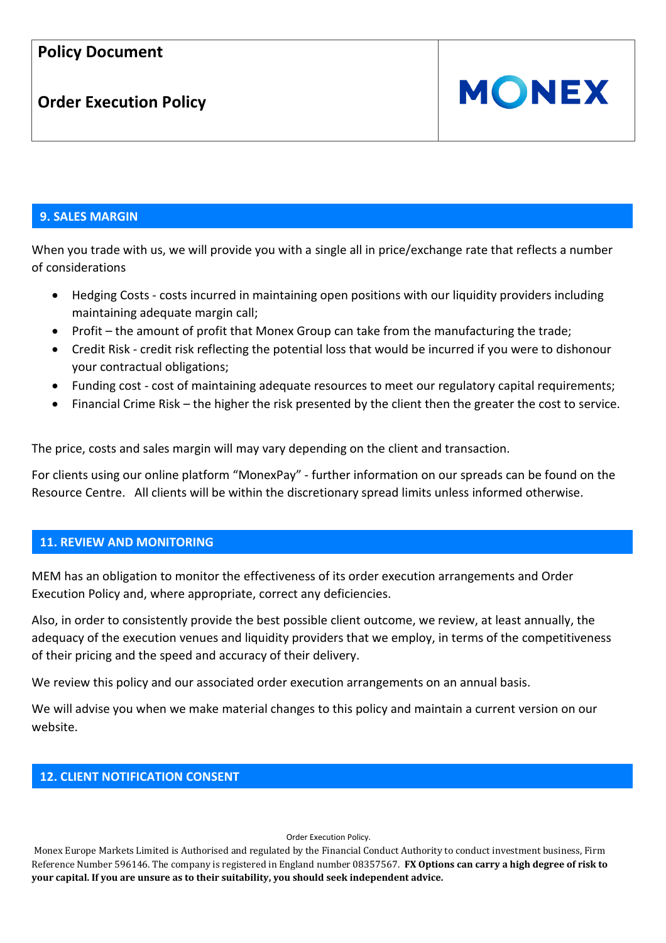# **Order Execution Policy**



### **9. SALES MARGIN**

When you trade with us, we will provide you with a single all in price/exchange rate that reflects a number of considerations

- Hedging Costs costs incurred in maintaining open positions with our liquidity providers including maintaining adequate margin call;
- Profit the amount of profit that Monex Group can take from the manufacturing the trade;
- Credit Risk credit risk reflecting the potential loss that would be incurred if you were to dishonour your contractual obligations;
- Funding cost cost of maintaining adequate resources to meet our regulatory capital requirements;
- Financial Crime Risk the higher the risk presented by the client then the greater the cost to service.

The price, costs and sales margin will may vary depending on the client and transaction.

For clients using our online platform "MonexPay" - further information on our spreads can be found on the Resource Centre. All clients will be within the discretionary spread limits unless informed otherwise.

#### **11. REVIEW AND MONITORING**

MEM has an obligation to monitor the effectiveness of its order execution arrangements and Order Execution Policy and, where appropriate, correct any deficiencies.

Also, in order to consistently provide the best possible client outcome, we review, at least annually, the adequacy of the execution venues and liquidity providers that we employ, in terms of the competitiveness of their pricing and the speed and accuracy of their delivery.

We review this policy and our associated order execution arrangements on an annual basis.

We will advise you when we make material changes to this policy and maintain a current version on our website.

#### **12. CLIENT NOTIFICATION CONSENT**

#### Order Execution Policy.